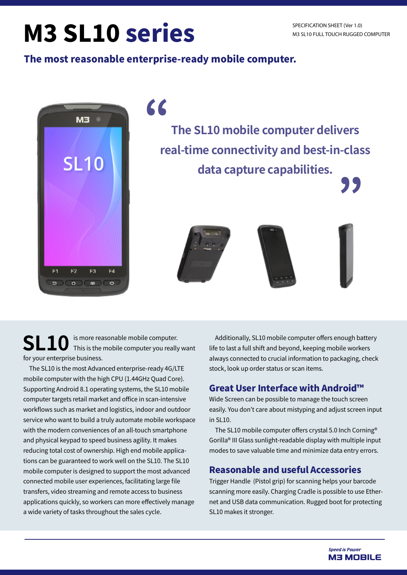# M3 SL10 series

#### The most reasonable enterprise-ready mobile computer.



66

**The SL10 mobile computer delivers real-time connectivity and best-in-class data capture capabilities.**







77

**SL10** is more reasonable mobile computer.<br>**SL10** This is the mobile computer you really want for your enterprise business.

The SL10 is the most Advanced enterprise-ready 4G/LTE mobile computer with the high CPU (1.44GHz Quad Core). Supporting Android 8.1 operating systems, the SL10 mobile computer targets retail market and office in scan-intensive workflows such as market and logistics, indoor and outdoor service who want to build a truly automate mobile workspace with the modern conveniences of an all-touch smartphone and physical keypad to speed business agility. It makes reducing total cost of ownership. High end mobile applications can be guaranteed to work well on the SL10. The SL10 mobile computer is designed to support the most advanced connected mobile user experiences, facilitating large file transfers, video streaming and remote access to business applications quickly, so workers can more effectively manage a wide variety of tasks throughout the sales cycle.

Additionally, SL10 mobile computer offers enough battery life to last a full shift and beyond, keeping mobile workers always connected to crucial information to packaging, check stock, look up order status or scan items.

#### Great User Interface with Android™

Wide Screen can be possible to manage the touch screen easily. You don't care about mistyping and adjust screen input in SL10.

The SL10 mobile computer offers crystal 5.0 Inch Corning® Gorilla® III Glass sunlight-readable display with multiple input modes to save valuable time and minimize data entry errors.

#### Reasonable and useful Accessories

Trigger Handle (Pistol grip) for scanning helps your barcode scanning more easily. Charging Cradle is possible to use Ethernet and USB data communication. Rugged boot for protecting SL10 makes it stronger.